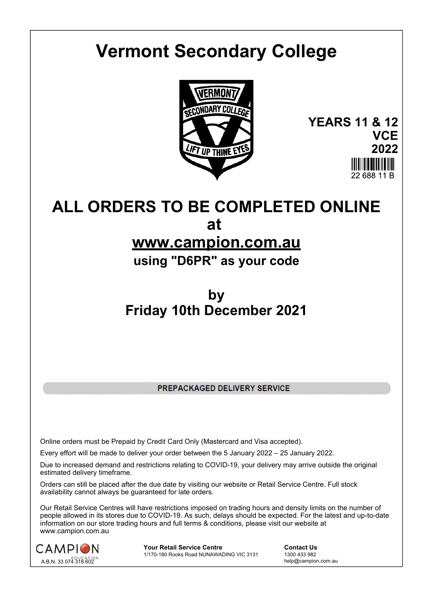# **Vermont Secondary College**



**YEARS 11 & 12 VCE 2022** 22 688 11 B

# **ALL ORDERS TO BE COMPLETED ONLINE at**

# **www.campion.com.au**

**using "D6PR" as your code**

# **by Friday 10th December 2021**

PREPACKAGED DELIVERY SERVICE

Online orders must be Prepaid by Credit Card Only (Mastercard and Visa accepted).

Every effort will be made to deliver your order between the 5 January 2022 – 25 January 2022.

Due to increased demand and restrictions relating to COVID-19, your delivery may arrive outside the original estimated delivery timeframe.

Orders can still be placed after the due date by visiting our website or Retail Service Centre. Full stock availability cannot always be guaranteed for late orders.

Our Retail Service Centres will have restrictions imposed on trading hours and density limits on the number of people allowed in its stores due to COVID-19. As such, delays should be expected. For the latest and up-to-date information on our store trading hours and full terms & conditions, please visit our website at www.campion.com.au



**Your Retail Service Centre Contact Us**<br>
1770-180 Rooks Road NUNAWADING VIC 3131
1300 433 982 1/170-180 Rooks Road NUNAWADING VIC 3131

help@campion.com.au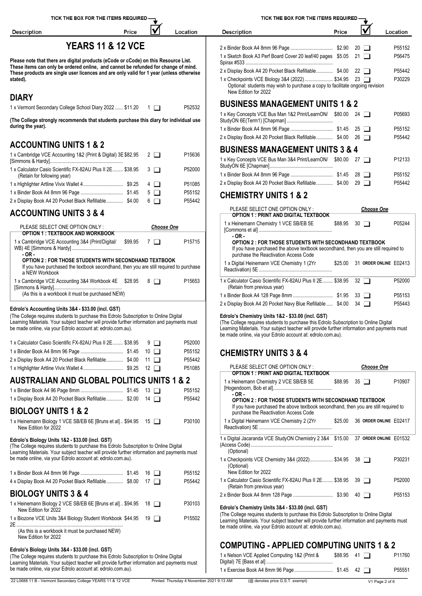| ICK THE BOX FOR THE ITEMS REQUIRED — |  |
|--------------------------------------|--|
|--------------------------------------|--|

TICK THE BOX FOR THE ITEMS REQUIRED

IV

Location

Price

| Description |
|-------------|
|             |

 $\mathbf{I}$ 

# **YEARS 11 & 12 VCE**

Price

Location

Description

**Please note that there are digital products (eCode or cCode) on this Resource List.** These items can only be ordered online, and cannot be refunded for change of mind. **These products are single user licences and are only valid for 1 year (unless otherwise stated).**

## **DIARY**

University<br>1 x Vermont Secondary College School Diary 2022 ...... \$11.20 1 Processing P52532

**(The College strongly recommends that students purchase this diary for individual use during the year).**

# **ACCOUNTING UNITS 1 & 2**

| 1 x Cambridge VCE Accounting 1&2 (Print & Digital) 3E \$82.95 2 | P15636 | <b>PUULLUU IIIARAULIIILII URITU VA T</b>                             |
|-----------------------------------------------------------------|--------|----------------------------------------------------------------------|
|                                                                 |        | 1 x Key Concepts VCE Bus Man 3&4 Print/LearnON/ \$80.00 27<br>P12133 |
| 1 x Calculator Casio Scientific FX-82AU Plus II 2E \$38.95 3    | P52000 |                                                                      |
| (Retain for following year)                                     |        | P55152                                                               |
|                                                                 | P51085 | 2 x Display Book A4 20 Pocket Black Refillable \$4.00 29<br>P55442   |
|                                                                 | P55152 | <b>CHEMISTRY UNITS 1 &amp; 2</b>                                     |
| 2 x Display Book A4 20 Pocket Black Refillable \$4.00 6         | P55442 |                                                                      |

# **ACCOUNTING UNITS 3 & 4**

| PLEASE SELECT ONE OPTION ONLY:                                                                                                                                                    |         | <b>Choose One</b> |                    | [Commons et al]                                                                                 |
|-----------------------------------------------------------------------------------------------------------------------------------------------------------------------------------|---------|-------------------|--------------------|-------------------------------------------------------------------------------------------------|
| <b>OPTION 1 : TEXTBOOK AND WORKBOOK</b><br>1 x Cambridge VCE Accounting 3&4 (Print/Digital/<br>$-OR-$                                                                             | \$99.95 | $\blacksquare$    | P <sub>15715</sub> | $-OR-$<br><b>OPTION 2: FOR THOSE</b><br>If you have purchased th<br>purchase the Reactivatio    |
| <b>OPTION 2: FOR THOSE STUDENTS WITH SECONDHAND TEXTBOOK</b><br>If you have purchased the textbook secondhand, then you are still required to purchase<br>a NEW Workbook          |         |                   |                    | 1 x Digital Heinemann VCE (<br>Reactivation) 5E                                                 |
| 1 x Cambridge VCE Accounting 3&4 Workbook 4E<br>(As this is a workbook it must be purchased NEW)                                                                                  | \$28.95 | 8   1             | P <sub>15653</sub> | 1 x Calculator Casio Scientific<br>(Retain from previous year)<br>1 x Binder Book A4 128 Page 8 |
| Edrolo's Accounting Units 3&4 - \$33.00 (incl. GST)                                                                                                                               |         |                   |                    | 2 x Display Book A4 20 Pocket                                                                   |
| (The College reguires students to purchase this Edrolo Subscription to Online Digital<br>corping Motoriale, Vous quido toggher will provide further information and noumante must |         |                   |                    | Edrolo's Chemistry Units 1&<br>The Callage requires students                                    |

Learning Materials. Your subject teacher will provide further information and payments must be made online, via your Edrolo account at: edrolo.com.au).

| 1 x Calculator Casio Scientific FX-82AU Plus II 2E \$38.95 9 | P52000 |                                  |                   |
|--------------------------------------------------------------|--------|----------------------------------|-------------------|
|                                                              | P55152 | <b>CHEMISTRY UNITS 3 &amp; 4</b> |                   |
| 2 x Display Book A4 20 Pocket Black Refillable \$4.00 11     | P55442 |                                  |                   |
|                                                              | P51085 | PLEASE SELECT ONE OPTION ONLY:   | <b>Choose One</b> |

# **AUSTRALIAN AND GLOBAL POLITICS UNITS 1 & 2**

|                                                          |  | P55152 | [Hogendoorn, Bob et al]<br>- OR -                       |
|----------------------------------------------------------|--|--------|---------------------------------------------------------|
| 1 x Display Book A4 20 Pocket Black Refillable \$2.00 14 |  | P55442 | <b>OPTION 2 : FOR THOS</b><br>If you have purchased the |

## **BIOLOGY UNITS 1 & 2**

New Edition for 2022 1 x Heinemann Biology 1 VCE SB/EB 6E [Bruns et al].. \$94.95 15 P30100

### **Edrolo's Biology Units 1&2 - \$33.00 (incl. GST)**

(The College requires students to purchase this Edrolo Subscription to Online Digital Learning Materials. Your subject teacher will provide further information and payments must be made online, via your Edrolo account at: edrolo.com.au).

|                                                                                       | P55152 | ---------<br>New Edition for 2022                                |
|---------------------------------------------------------------------------------------|--------|------------------------------------------------------------------|
| 4 x Display Book A4 20 Pocket Black Refillable \$8.00 17                              | P55442 | 1 x Calculator Casio Scientific<br>(Retain from previous year    |
| <b>BIOLOGY UNITS 3 &amp; 4</b>                                                        |        | 2 x Binder Book A4 8mm 128 B                                     |
| 1 x Heinemann Biology 2 VCE SB/EB 6E [Bruns et al] \$94.95 18<br>New Edition for 2022 | P30103 | <b>Edrolo's Chemistry Units 3&amp;</b>                           |
| 1 x Biozone VCE Units 3&4 Biology Student Workbook \$44.95 19                         | P15502 | (The College requires students<br>Learning Materials. Your subje |

(As this is a workbook it must be purchased NEW) New Edition for 2022

### **Edrolo's Biology Units 3&4 - \$33.00 (incl. GST)**

(The College requires students to purchase this Edrolo Subscription to Online Digital Learning Materials. Your subject teacher will provide further information and payments must be made online, via your Edrolo account at: edrolo.com.au).

|                                                                                                                                                              |         | $20 \mid$ 1          | P55152             |
|--------------------------------------------------------------------------------------------------------------------------------------------------------------|---------|----------------------|--------------------|
| 1 x Sketch Book A3 Perf Board Cover 20 leaf/40 pages \$5.05                                                                                                  |         | 21                   | P56475             |
| 2 x Display Book A4 20 Pocket Black Refillable \$4.00                                                                                                        |         | $22 \Box$            | P55442             |
| 1 x Checkpoints VCE Biology 3&4 (2022) \$34.95 23 □<br>Optional: students may wish to purchase a copy to facilitate ongoing revision<br>New Edition for 2022 |         |                      | P30229             |
| <b>BUSINESS MANAGEMENT UNITS 1 &amp; 2</b>                                                                                                                   |         |                      |                    |
| 1 x Key Concepts VCE Bus Man 1&2 Print/LearnON/ \$80.00                                                                                                      |         | 24 $\Box$            | P05693             |
|                                                                                                                                                              |         | 25<br>$\mathbf{I}$   | P55152             |
| 2 x Display Book A4 20 Pocket Black Refillable \$4.00                                                                                                        |         | 26<br>$\blacksquare$ | P55442             |
| <b>BUSINESS MANAGEMENT UNITS 3 &amp; 4</b>                                                                                                                   |         |                      |                    |
| 1 x Key Concepts VCE Bus Man 3&4 Print/LearnON/                                                                                                              | \$80.00 | $27 \Box$            | P <sub>12133</sub> |
|                                                                                                                                                              |         | $28 \Box$            | P55152             |
| 2 x Display Book A4 20 Pocket Black Refillable \$4.00                                                                                                        |         | 29                   | P55442             |
|                                                                                                                                                              |         |                      |                    |

| PLEASE SELECT ONE OPTION ONLY:<br>OPTION 1 : PRINT AND DIGITAL TEXTBOOK                                                      |         |    | <b>Choose One</b>      |                    |
|------------------------------------------------------------------------------------------------------------------------------|---------|----|------------------------|--------------------|
| 1 x Heinemann Chemistry 1 VCE SB/EB 5E<br>$-OR-$<br><b>OPTION 2: FOR THOSE STUDENTS WITH SECONDHAND TEXTBOOK</b>             | \$88.95 |    | $30$ $\Box$            | P05244             |
| If you have purchased the above textbook secondhand, then you are still required to<br>purchase the Reactivation Access Code |         |    |                        |                    |
| 1 x Digital Heinemann VCE Chemistry 1 (2Yr                                                                                   | \$25.00 |    | 31 ORDER ONLINE E02413 |                    |
| 1 x Calculator Casio Scientific FX-82AU Plus II 2E \$38.95<br>(Retain from previous year)                                    |         |    | $32 \Box$              | P52000             |
|                                                                                                                              |         |    | 33 I I                 | P <sub>55153</sub> |
| 2 x Display Book A4 20 Pocket Navy Blue Refillable                                                                           | \$4.00  | 34 |                        | P55443             |

### **Edrolo's Chemistry Units 1&2 - \$33.00 (incl. GST)**

(The College requires students to purchase this Edrolo Subscription to Online Digital Learning Materials. Your subject teacher will provide further information and payments must be made online, via your Edrolo account at: edrolo.com.au).

| PLEASE SELECT ONE OPTION ONLY:                                                                                                                                                                          |         | <b>Choose One</b>      |                    |
|---------------------------------------------------------------------------------------------------------------------------------------------------------------------------------------------------------|---------|------------------------|--------------------|
| OPTION 1 : PRINT AND DIGITAL TEXTBOOK                                                                                                                                                                   |         |                        |                    |
| 1 x Heinemann Chemistry 2 VCE SB/EB 5E                                                                                                                                                                  | \$88.95 | $35\Box$               | P <sub>10907</sub> |
| $-OR -$<br><b>OPTION 2: FOR THOSE STUDENTS WITH SECONDHAND TEXTBOOK</b><br>If you have purchased the above textbook secondhand, then you are still required to<br>purchase the Reactivation Access Code |         |                        |                    |
| 1 x Digital Heinemann VCE Chemistry 2 (2Yr                                                                                                                                                              | \$25.00 | 36 ORDER ONLINE E02417 |                    |
| 1 x Digital Jacaranda VCE StudyON Chemistry 2 3&4 \$15.00<br>(Optional)                                                                                                                                 |         | 37 ORDER ONLINE E01532 |                    |
| 1 x Checkpoints VCE Chemistry 3&4 (2022) \$34.95<br>(Optional)<br>New Edition for 2022                                                                                                                  |         | $38$ $\Box$            | P30231             |
| 1 x Calculator Casio Scientific FX-82AU Plus II 2E \$38.95<br>(Retain from previous year)                                                                                                               |         | 39 I I                 | P52000             |
|                                                                                                                                                                                                         |         | 40   1                 | P55153             |
| Edrolo's Chamistry Units 284 \$22.00 (incl. GST)                                                                                                                                                        |         |                        |                    |

### Edrolo's Chemistry Units 3&4 - \$33.00 (incl.

(The College requires students to purchase this Edrolo Subscription to Online Digital Learning Materials. Your subject teacher will provide further information and payments must 2E ................................................................................... \$44.95 <sup>19</sup> P15502 be made online, via your Edrolo account at: edrolo.com.au).

# **COMPUTING - APPLIED COMPUTING UNITS 1 & 2**

| 1 x Nelson VCE Applied Computing 1&2 (Print & | $$88.95$ 41 $\Box$ | P <sub>11760</sub> |
|-----------------------------------------------|--------------------|--------------------|
|                                               |                    |                    |
|                                               |                    | P55551             |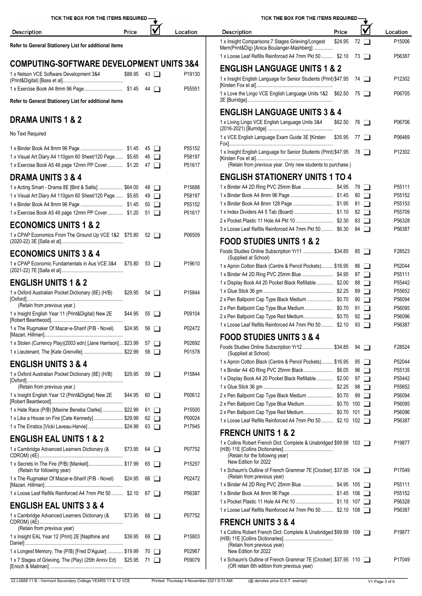| TICK THE BOX FOR THE ITEMS REQUIRED -                                                                         |                    |                                      |        |                            | TICK THE BOX FOR THE ITEMS                                                                                   |
|---------------------------------------------------------------------------------------------------------------|--------------------|--------------------------------------|--------|----------------------------|--------------------------------------------------------------------------------------------------------------|
| <b>Description</b>                                                                                            | Price              |                                      |        | Location                   | <b>Description</b>                                                                                           |
| Refer to General Stationery List for additional items                                                         |                    |                                      |        |                            | 1 x Insight Comparisons: 7 Stages Grieving/Longest<br>Mem(Print&Dig) [Anica Boulanger-Mashberg]              |
| <b>COMPUTING-SOFTWARE DEVELOPMENT UNITS 3&amp;4</b>                                                           |                    |                                      |        |                            | 1 x Loose Leaf Refills Reinforced A4 7mm Pkt 50                                                              |
| 1 x Nelson VCE Software Development 3&4                                                                       | $$88.95$ 43 $\Box$ |                                      |        | P19130                     | <b>ENGLISH LANGUAGE UNITS 1</b><br>1 x Insight English Language for Senior Students (Prin                    |
|                                                                                                               |                    |                                      |        | P55551                     | 1 x Love the Lingo VCE English Language Units 1&2                                                            |
| Refer to General Stationery List for additional items                                                         |                    |                                      |        |                            |                                                                                                              |
| <b>DRAMA UNITS 1 &amp; 2</b>                                                                                  |                    |                                      |        |                            | <b>ENGLISH LANGUAGE UNITS 3 &amp;</b><br>1 x Living Lingo VCE English Language Units 3&4                     |
| No Text Required                                                                                              |                    |                                      |        |                            | 1 x VCE English Language Exam Guide 3E [Kirsten                                                              |
| 1 x Visual Art Diary A4 110gsm 60 Sheet/120 Page  \$5.65<br>1 x Exercise Book A5 48 page 12mm PP Cover \$1.20 |                    | $45\Box$<br>$46$ $\Box$<br>47 $\Box$ |        | P55152<br>P58197<br>P51617 | 1 x Insight English Language for Senior Students (Prin<br>(Retain from previous year. Only new students to p |
| <b>DRAMA UNITS 3 &amp; 4</b>                                                                                  |                    |                                      |        |                            | <b>ENGLISH STATIONERY UNITS 1</b>                                                                            |
| 1 x Acting Smart - Drama 8E [Bird & Sallis]  \$64.00                                                          |                    | 48 □                                 |        | P15688                     | 1 x Binder A4 2D Ring PVC 25mm Blue                                                                          |
| 1 x Visual Art Diary A4 110gsm 60 Sheet/120 Page  \$5.65                                                      |                    | $49$ $\Box$                          |        | P58197                     | 1 x Binder Book A4 8mm 96 Page                                                                               |
|                                                                                                               |                    | $50$ $\Box$                          |        | P55152                     | 1 x Binder Book A4 8mm 128 Page                                                                              |
| 1 x Exercise Book A5 48 page 12mm PP Cover \$1.20                                                             |                    | 51 $\Box$                            |        | P51617                     | 1 x Index Dividers A4 5 Tab (Board)<br>2 x Pocket Plastic 11 Hole A4 Pkt 10                                  |
| <b>ECONOMICS UNITS 1 &amp; 2</b>                                                                              |                    |                                      |        |                            | 3 x Loose Leaf Refills Reinforced A4 7mm Pkt 50                                                              |
| 1 x CPAP Economics From The Ground Up VCE 1&2 \$75.80 52                                                      |                    |                                      |        | P06509                     | <b>FOOD STUDIES UNITS 1 &amp; 2</b>                                                                          |
| <b>ECONOMICS UNITS 3 &amp; 4</b>                                                                              |                    |                                      |        |                            | Foods Studies Online Subscription Yr11<br>(Supplied at School)                                               |
| 1 x CPAP Economic Fundamentals in Aus VCE 3&4 \$75.80                                                         |                    | $53$ $\Box$                          |        | P19610                     | 1 x Apron Cotton Black (Centre & Pencil Pockets)<br>1 x Binder A4 2D Ring PVC 25mm Blue                      |
| <b>ENGLISH UNITS 1 &amp; 2</b>                                                                                |                    |                                      |        |                            | 1 x Display Book A4 20 Pocket Black Refillable                                                               |
| 1 x Oxford Australian Pocket Dictionary (8E) (H/B)                                                            | $$29.95$ 54 $\Box$ |                                      |        | P15844                     |                                                                                                              |
| (Retain from previous year.)                                                                                  |                    |                                      |        |                            | 2 x Pen Ballpoint Cap Type Black Medium                                                                      |
| 1 x Insight English Year 11 (Print&Digital) New 2E                                                            | \$44.95            | 55                                   | $\Box$ | P09104                     | 2 x Pen Ballpoint Cap Type Blue Medium<br>2 x Pen Ballpoint Cap Type Red Medium                              |
|                                                                                                               |                    |                                      |        |                            | 1 x Loose Leaf Refills Reinforced A4 7mm Pkt 50                                                              |
| 1 x The Rugmaker Of Mazar-e-Sharif (P/B - Novel)                                                              | $$24.95$ 56 $\Box$ |                                      |        | P02472                     | <b>FOOD STUDIES UNITS 3 &amp; 4</b>                                                                          |
| 1 x Stolen (Currency Play)(2003 edn) [Jane Harrison] \$23.99<br>1 x Lieutenant, The [Kate Grenville]  \$22.99 |                    | $57$ $\Box$<br>$58$ $\Box$           |        | P02692<br>P01578           | Foods Studies Online Subscription Yr12                                                                       |
|                                                                                                               |                    |                                      |        |                            | (Supplied at School)<br>1 x Apron Cotton Black (Centre & Pencil Pockets)                                     |
| <b>ENGLISH UNITS 3 &amp; 4</b>                                                                                |                    |                                      |        |                            | 1 x Binder A4 4D Ring PVC 25mm Black                                                                         |
| 1 x Oxford Australian Pocket Dictionary (8E) (H/B)                                                            | $$29.95$ 59 $\Box$ |                                      |        | P15844                     | 1 x Display Book A4 20 Pocket Black Refillable                                                               |
| (Retain from previous year.)                                                                                  |                    |                                      |        |                            |                                                                                                              |
| 1 x Insight English Year 12 (Print&Digital) New 2E                                                            | \$44.95            | $60$ $\Box$                          |        | P00612                     | 2 x Pen Ballpoint Cap Type Black Medium                                                                      |
| 1 x Hate Race (P/B) [Maxine Beneba Clarke]  \$22.99                                                           |                    | 61 □                                 |        | P15500                     | 2 x Pen Ballpoint Cap Type Blue Medium                                                                       |
| 1 x Like a House on Fire [Cate Kennedy] \$29.99                                                               |                    | 62 $\Box$                            |        | P00024                     | 2 x Pen Ballpoint Cap Type Red Medium<br>1 x Loose Leaf Refills Reinforced A4 7mm Pkt 50                     |
| 1 x The Erratics [Vicki Laveau-Harvie]  \$24.99                                                               |                    | $63$ $\Box$                          |        | P17945                     |                                                                                                              |
| <b>ENGLISH EAL UNITS 1 &amp; 2</b>                                                                            |                    |                                      |        |                            | <b>FRENCH UNITS 1 &amp; 2</b>                                                                                |
| 1 x Cambridge Advanced Learners Dictionary (&                                                                 | \$73.95            | 64 <b>I</b>                          |        | P07752                     | 1 x Collins Robert French Dict: Complete & Unabridge<br>(Retain for the following year)                      |
| 1 x Secrets In The Fire (P/B) [Mankell] \$17.99<br>(Retain for following year)                                |                    | $65$ $\Box$                          |        | P15257                     | New Edition for 2022<br>1 x Schaum's Outline of French Grammar 7E [Crocker]                                  |
| 1 x The Rugmaker Of Mazar-e-Sharif (P/B - Novel)                                                              | \$24.95            | 66 O                                 |        | P02472                     | (Retain from previous year)                                                                                  |
| 1 x Loose Leaf Refills Reinforced A4 7mm Pkt 50  \$2.10                                                       |                    | $67$ $\Box$                          |        | P56387                     | 1 x Binder A4 2D Ring PVC 25mm Blue<br>1 x Binder Book A4 8mm 96 Page                                        |
|                                                                                                               |                    |                                      |        |                            | 1 x Pocket Plastic 11 Hole A4 Pkt 10                                                                         |
| <b>ENGLISH EAL UNITS 3 &amp; 4</b>                                                                            |                    |                                      |        |                            | 1 x Loose Leaf Refills Reinforced A4 7mm Pkt 50                                                              |
| 1 x Cambridge Advanced Learners Dictionary (&<br>(Retain from previous year)                                  | $$73.95$ 68 $\Box$ |                                      |        | P07752                     | <b>FRENCH UNITS 3 &amp; 4</b>                                                                                |
| 1 x Insight EAL Year 12 (Print) 2E [Napthine and                                                              | $$39.95$ 69 $\Box$ |                                      |        | P15803                     | 1 x Collins Robert French Dict: Complete & Unabridge<br>(Retain from previous year)                          |
| 1 x Longest Memory, The (P/B) [Fred D'Aguiar]  \$19.99                                                        |                    | 70 □                                 |        | P02967                     | New Edition for 2022                                                                                         |
| 1 x 7 Stages of Grieving, The (Play) (25th Anniv Ed) \$25.95                                                  |                    | $71$ $\Box$                          |        | P09079                     | 1 x Schaum's Outline of French Grammar 7E [Crocker]<br>(OR retain 6th edition from previous year)            |
|                                                                                                               |                    |                                      |        |                            |                                                                                                              |

| TICK THE BOX FOR THE ITEMS REQUIRED -                                                                                                |         |     |                |                    |
|--------------------------------------------------------------------------------------------------------------------------------------|---------|-----|----------------|--------------------|
| <b>Description</b>                                                                                                                   | Price   |     |                | Location           |
| 1 x Insight Comparisons: 7 Stages Grieving/Longest<br>Mem(Print&Dig) [Anica Boulanger-Mashberg]                                      | \$24.95 | 72  |                | P15006             |
| 1 x Loose Leaf Refills Reinforced A4 7mm Pkt 50  \$2.10                                                                              |         | 73  |                | P56387             |
| <b>ENGLISH LANGUAGE UNITS 1 &amp; 2</b>                                                                                              |         |     |                |                    |
| 1 x Insight English Language for Senior Students (Print) \$47.95                                                                     |         |     | 74 I I         | P <sub>12302</sub> |
| 1 x Love the Lingo VCE English Language Units 1&2 \$62.50                                                                            |         | 75  |                | P06705             |
| <b>ENGLISH LANGUAGE UNITS 3 &amp; 4</b>                                                                                              |         |     |                |                    |
| 1 x Living Lingo VCE English Language Units 3&4                                                                                      | \$62.50 |     | 76 I I         | P06706             |
| 1 x VCE English Language Exam Guide 3E [Kirsten                                                                                      | \$35.95 | 77  |                | P06469             |
| 1 x Insight English Language for Senior Students (Print) \$47.95<br>(Retain from previous year. Only new students to purchase.)      |         | 78  |                | P12302             |
| <b>ENGLISH STATIONERY UNITS 1 TO 4</b>                                                                                               |         |     |                |                    |
| 1 x Binder A4 2D Ring PVC 25mm Blue \$4.95                                                                                           |         |     | 79 ⊔           | P55111             |
|                                                                                                                                      |         | 80  | $\blacksquare$ | P55152             |
|                                                                                                                                      |         | 81  | $\blacksquare$ | P55153             |
|                                                                                                                                      |         | 82  | $\blacksquare$ | P55709             |
|                                                                                                                                      |         | 83  | $\blacksquare$ | P56328             |
| 3 x Loose Leaf Refills Reinforced A4 7mm Pkt 50  \$6.30                                                                              |         | 84  |                | P56387             |
| <b>FOOD STUDIES UNITS 1 &amp; 2</b>                                                                                                  |         |     |                |                    |
| Foods Studies Online Subscription Yr11  \$34.85<br>(Supplied at School)                                                              |         | 85  |                | F28523             |
| 1 x Apron Cotton Black (Centre & Pencil Pockets) \$16.95                                                                             |         | 86  |                | P52044             |
| 1 x Binder A4 2D Ring PVC 25mm Blue \$4.95                                                                                           |         | 87  |                | P55111             |
| 1 x Display Book A4 20 Pocket Black Refillable \$2.00                                                                                |         | 88  |                | P55442             |
|                                                                                                                                      |         | 89  |                | P55652             |
| 2 x Pen Ballpoint Cap Type Black Medium  \$0.70                                                                                      |         | 90  |                | P56094             |
| 2 x Pen Ballpoint Cap Type Blue Medium \$0.70                                                                                        |         | 91  |                | P56095             |
| 2 x Pen Ballpoint Cap Type Red Medium \$0.70                                                                                         |         | 92  |                | P56096             |
| 1 x Loose Leaf Refills Reinforced A4 7mm Pkt 50  \$2.10                                                                              |         | 93  |                | P56387             |
| <b>FOOD STUDIES UNITS 3 &amp; 4</b>                                                                                                  |         |     |                |                    |
| Foods Studies Online Subscription Yr12 \$34.85<br>(Supplied at School)                                                               |         |     | 94 I I         | F28524             |
| 1 x Apron Cotton Black (Centre & Pencil Pockets) \$16.95                                                                             |         | 95  |                | P52044             |
|                                                                                                                                      |         | 96  | $\mathbf{L}$   | P55135             |
| 1 x Display Book A4 20 Pocket Black Refillable \$2.00                                                                                |         | 97  | $\mathbf{I}$   | P55442             |
|                                                                                                                                      |         | 98  | $\mathbf{I}$   | P55652             |
| 2 x Pen Ballpoint Cap Type Black Medium \$0.70                                                                                       |         | 99  | Π              | P56094             |
| 2 x Pen Ballpoint Cap Type Blue Medium \$0.70                                                                                        |         | 100 |                | P56095             |
| 2 x Pen Ballpoint Cap Type Red Medium \$0.70                                                                                         |         | 101 |                | P56096             |
| 1 x Loose Leaf Refills Reinforced A4 7mm Pkt 50  \$2.10                                                                              |         | 102 |                | P56387             |
| <b>FRENCH UNITS 1 &amp; 2</b>                                                                                                        |         |     |                |                    |
| 1 x Collins Robert French Dict: Complete & Unabridged \$99.99 103<br>(Retain for the following year)<br>New Edition for 2022         |         |     |                | P19877             |
| 1 x Schaum's Outline of French Grammar 7E [Crocker] . \$37.95 104<br>(Retain from previous year)                                     |         |     |                | P17049             |
|                                                                                                                                      |         |     |                | P55111             |
|                                                                                                                                      |         | 106 |                | P55152             |
|                                                                                                                                      |         |     |                | P56328             |
| 1 x Loose Leaf Refills Reinforced A4 7mm Pkt 50  \$2.10 108                                                                          |         |     |                | P56387             |
| <b>FRENCH UNITS 3 &amp; 4</b>                                                                                                        |         |     |                |                    |
| 1 x Collins Robert French Dict: Complete & Unabridged \$99.99 109<br>(Retain from previous year)                                     |         |     |                | P19877             |
| New Edition for 2022<br>1x Schaum's Outline of French Grammar 7E [Crocker] \$37.95 110<br>(OR retain 6th edition from previous year) |         |     |                | P17049             |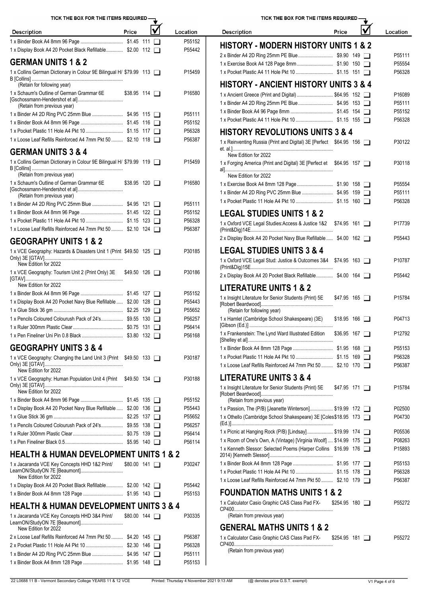| TICK THE BOX FOR THE ITEMS REQUIRED -                               |                     |  |                    | TICK THE BOX FOR THE ITEMS                                                                        |
|---------------------------------------------------------------------|---------------------|--|--------------------|---------------------------------------------------------------------------------------------------|
| <b>Description</b>                                                  | Price               |  | Location           | <b>Description</b>                                                                                |
|                                                                     |                     |  | P55152             |                                                                                                   |
| 1 x Display Book A4 20 Pocket Black Refillable \$2.00 112           |                     |  | P55442             | <b>HISTORY - MODERN HISTORY L</b>                                                                 |
| <b>GERMAN UNITS 1 &amp; 2</b>                                       |                     |  |                    | 2 x Binder A4 2D Ring 25mm PE Blue<br>1 x Exercise Book A4 128 Page 8mm                           |
| 1 x Collins German Dictionary in Colour 9E Bilingual H/ \$79.99 113 |                     |  | P15459             |                                                                                                   |
| (Retain for following year)                                         |                     |  |                    | <b>HISTORY - ANCIENT HISTORY L</b>                                                                |
| 1 x Schaum's Outline of German Grammar 6E                           | $$38.95$ 114 $\Box$ |  | P16580             | 1 x Ancient Greece (Print and Digital)                                                            |
| (Retain from previous year)                                         |                     |  |                    | 1 x Binder A4 2D Ring 25mm PE Blue                                                                |
|                                                                     |                     |  | P55111             |                                                                                                   |
|                                                                     |                     |  | P55152             |                                                                                                   |
|                                                                     |                     |  | P56328             | <b>HISTORY REVOLUTIONS UNITS</b>                                                                  |
| 1 x Loose Leaf Refills Reinforced A4 7mm Pkt 50  \$2.10 118         |                     |  | P56387             | 1 x Reinventing Russia (Print and Digital) 3E [Perfect                                            |
| <b>GERMAN UNITS 3 &amp; 4</b>                                       |                     |  |                    | New Edition for 2022                                                                              |
| 1 x Collins German Dictionary in Colour 9E Bilingual H/ \$79.99 119 |                     |  | P <sub>15459</sub> | 1 x Forging America (Print and Digital) 3E [Perfect et                                            |
| (Retain from previous year)                                         |                     |  |                    | New Edition for 2022                                                                              |
| 1 x Schaum's Outline of German Grammar 6E                           | $$38.95$ 120 $\Box$ |  | P16580             | 1 x Exercise Book A4 8mm 128 Page                                                                 |
| (Retain from previous year)                                         |                     |  |                    | 1 x Binder A4 2D Ring PVC 25mm Blue                                                               |
|                                                                     |                     |  | P55111             |                                                                                                   |
|                                                                     |                     |  | P55152             | <b>LEGAL STUDIES UNITS 1 &amp; 2</b>                                                              |
|                                                                     |                     |  | P56328             |                                                                                                   |
| 1 x Loose Leaf Refills Reinforced A4 7mm Pkt 50  \$2.10 124         |                     |  | P56387             | 1 x Oxford VCE Legal Studies: Access & Justice 1&2                                                |
| <b>GEOGRAPHY UNITS 1 &amp; 2</b>                                    |                     |  |                    | 2 x Display Book A4 20 Pocket Navy Blue Refillable                                                |
| 1 x VCE Geography: Hazards & Disasters Unit 1 (Print \$49.50 125    |                     |  | P30185             | <b>LEGAL STUDIES UNITS 3 &amp; 4</b>                                                              |
| New Edition for 2022                                                |                     |  |                    | 1 x Oxford VCE Legal Stud: Justice & Outcomes 3&4                                                 |
| 1 x VCE Geography: Tourism Unit 2 (Print Only) 3E \$49.50 126       |                     |  | P30186             | 2 x Display Book A4 20 Pocket Black Refillable                                                    |
|                                                                     |                     |  |                    |                                                                                                   |
| New Edition for 2022                                                |                     |  |                    | <b>LITERATURE UNITS 1 &amp; 2</b>                                                                 |
| 1 x Display Book A4 20 Pocket Navy Blue Refillable  \$2.00 128      |                     |  | P55152<br>P55443   | 1 x Insight Literature for Senior Students (Print) 5E                                             |
|                                                                     |                     |  | P55652             | (Retain for following year)                                                                       |
| 1 x Pencils Coloured Colourush Pack of 24's \$9.55 130              |                     |  | P56257             | 1 x Hamlet (Cambridge School Shakespeare) (3E)                                                    |
|                                                                     |                     |  | P56414             |                                                                                                   |
|                                                                     |                     |  | P56168             | 1 x Frankenstein: The Lynd Ward Illustrated Edition                                               |
|                                                                     |                     |  |                    |                                                                                                   |
| <b>GEOGRAPHY UNITS 3 &amp; 4</b>                                    |                     |  |                    | 1 x Binder Book A4 8mm 128 Page                                                                   |
| 1 x VCE Geography: Changing the Land Unit 3 (Print \$49.50 133      |                     |  | P30187             | 1 x Loose Leaf Refills Reinforced A4 7mm Pkt 50                                                   |
| New Edition for 2022                                                |                     |  |                    | <b>LITERATURE UNITS 3 &amp; 4</b>                                                                 |
| 1 x VCE Geography: Human Population Unit 4 (Print \$49.50 134       |                     |  | P30188             | 1 x Insight Literature for Senior Students (Print) 5E                                             |
| New Edition for 2022                                                |                     |  |                    |                                                                                                   |
|                                                                     |                     |  | P55152             | (Retain from previous year)                                                                       |
| 1 x Display Book A4 20 Pocket Navy Blue Refillable  \$2.00 136      |                     |  | P55443             | 1 x Passion, The (P/B) [Jeanette Winterson]                                                       |
|                                                                     |                     |  | P55652             | 1 x Othello (Cambridge School Shakespeare) 3E [Cole:                                              |
| 1 x Pencils Coloured Colourush Pack of 24's \$9.55 138              |                     |  | P56257             |                                                                                                   |
|                                                                     |                     |  | P56414             | 1 x Picnic at Hanging Rock (P/B) [Lindsay]<br>1 x Room of One's Own, A (Vintage) [Virginia Woolf] |
|                                                                     |                     |  | P56114             | 1 x Kenneth Slessor: Selected Poems (Harper Collins                                               |
| <b>HEALTH &amp; HUMAN DEVELOPMENT UNITS 1 &amp; 2</b>               |                     |  |                    |                                                                                                   |
| 1 x Jacaranda VCE Key Concepts HHD 1&2 Print/                       | $$80.00$ 141 $\Box$ |  | P30247             | 1 x Binder Book A4 8mm 128 Page                                                                   |
| New Edition for 2022                                                |                     |  |                    | 1 x Loose Leaf Refills Reinforced A4 7mm Pkt 50                                                   |
| 1 x Display Book A4 20 Pocket Black Refillable \$2.00 142           |                     |  | P55442             |                                                                                                   |
|                                                                     |                     |  | P55153             | <b>FOUNDATION MATHS UNITS 18</b>                                                                  |
| <b>HEALTH &amp; HUMAN DEVELOPMENT UNITS 3 &amp; 4</b>               |                     |  |                    | 1 x Calculator Casio Graphic CAS Class Pad FX-                                                    |
| 1 x Jacaranda VCE Key Concepts HHD 3&4 Print/                       | $$80.00$ 144 $\Box$ |  | P30335             | (Retain from previous year)                                                                       |
| New Edition for 2022                                                |                     |  |                    | <b>GENERAL MATHS UNITS 1 &amp; 2</b>                                                              |
| 2 x Loose Leaf Refills Reinforced A4 7mm Pkt 50  \$4.20 145         |                     |  | P56387             | 1 x Calculator Casio Graphic CAS Class Pad FX-                                                    |
|                                                                     |                     |  | P56328             | (Retain from previous year)                                                                       |
|                                                                     |                     |  | P55111             |                                                                                                   |
|                                                                     |                     |  | P55153             |                                                                                                   |

TICK THE BOX FOR THE ITEMS REQUIRED- $\overrightarrow{\mathbf{M}}$ 

| <b>Description</b>                                                                               | Price                | Location           |
|--------------------------------------------------------------------------------------------------|----------------------|--------------------|
| <b>HISTORY - MODERN HISTORY UNITS 1 &amp; 2</b>                                                  |                      |                    |
|                                                                                                  |                      | P55111             |
|                                                                                                  |                      | P55554             |
|                                                                                                  |                      | P56328             |
| <b>HISTORY - ANCIENT HISTORY UNITS 3 &amp; 4</b>                                                 |                      |                    |
| 1 x Ancient Greece (Print and Digital)  \$64.95 152                                              |                      | P16089             |
|                                                                                                  |                      | P55111             |
|                                                                                                  |                      | P55152             |
|                                                                                                  |                      | P56328             |
| <b>HISTORY REVOLUTIONS UNITS 3 &amp; 4</b>                                                       |                      |                    |
| 1 x Reinventing Russia (Print and Digital) 3E [Perfect \$64.95 156                               |                      | P30122             |
| New Edition for 2022                                                                             |                      |                    |
| 1 x Forging America (Print and Digital) 3E [Perfect et \$64.95 157                               |                      | P30118             |
| New Edition for 2022                                                                             |                      |                    |
|                                                                                                  |                      | P55554             |
|                                                                                                  |                      | P55111             |
|                                                                                                  |                      | P56328             |
| <b>LEGAL STUDIES UNITS 1 &amp; 2</b>                                                             |                      |                    |
| 1 x Oxford VCE Legal Studies: Access & Justice 1&2                                               | \$74.95 161          | P17739             |
|                                                                                                  |                      |                    |
| 2 x Display Book A4 20 Pocket Navy Blue Refillable  \$4.00 162                                   |                      | P55443             |
| <b>LEGAL STUDIES UNITS 3 &amp; 4</b>                                                             |                      |                    |
| 1 x Oxford VCE Legal Stud: Justice & Outcomes 3&4 \$74.95 163                                    |                      | P <sub>10787</sub> |
| 2 x Display Book A4 20 Pocket Black Refillable \$4.00 164                                        |                      | P55442             |
| <b>LITERATURE UNITS 1 &amp; 2</b>                                                                |                      |                    |
| 1 x Insight Literature for Senior Students (Print) 5E                                            | $$47.95$ 165 $\Box$  | P15784             |
| (Retain for following year)                                                                      |                      |                    |
| 1 x Hamlet (Cambridge School Shakespeare) (3E)                                                   | $$18.95$ 166 $\Box$  | P04713             |
| 1 x Frankenstein: The Lynd Ward Illustrated Edition                                              | $$36.95$ 167 $\Box$  | P12792             |
|                                                                                                  |                      | P55153             |
|                                                                                                  |                      | P56328             |
| 1 x Loose Leaf Refills Reinforced A4 7mm Pkt 50  \$2.10 170                                      |                      | P56387             |
| <b>LITERATURE UNITS 3 &amp; 4</b>                                                                |                      |                    |
| 1 x Insight Literature for Senior Students (Print) 5E \$47.95 171<br>(Retain from previous year) |                      | P15784             |
| 1 x Passion, The (P/B) [Jeanette Winterson] \$19.99 172                                          |                      | P02500             |
| 1 x Othello (Cambridge School Shakespeare) 3E [Coles\$18.95 173                                  |                      | P04730             |
| 1 x Picnic at Hanging Rock (P/B) [Lindsay] \$19.99 174                                           |                      | P05536             |
| 1 x Room of One's Own, A (Vintage) [Virginia Woolf]  \$14.99 175                                 |                      | P08263             |
| 1 x Kenneth Slessor: Selected Poems (Harper Collins \$16.99 176                                  |                      | P15893             |
|                                                                                                  |                      | P55153             |
|                                                                                                  |                      | P56328             |
| 1 x Loose Leaf Refills Reinforced A4 7mm Pkt 50  \$2.10 179                                      |                      | P56387             |
| <b>FOUNDATION MATHS UNITS 1 &amp; 2</b>                                                          |                      |                    |
| 1 x Calculator Casio Graphic CAS Class Pad FX-                                                   | $$254.95$ 180 $\Box$ | P55272             |
| (Retain from previous year)                                                                      |                      |                    |
|                                                                                                  |                      |                    |
| <b>GENERAL MATHS UNITS 1 &amp; 2</b>                                                             |                      |                    |
| 1 x Calculator Casio Graphic CAS Class Pad FX-                                                   | $$254.95$ 181 $\Box$ | P55272             |
| (Retain from previous vear)                                                                      |                      |                    |

22 L0688 11 B - Vermont Secondary College YEARS 11 & 12 VCE Printed: Thursday 4 November 2021 9:13 AM (@ denotes price G.S.T. exempt) V1 Page 4 of 6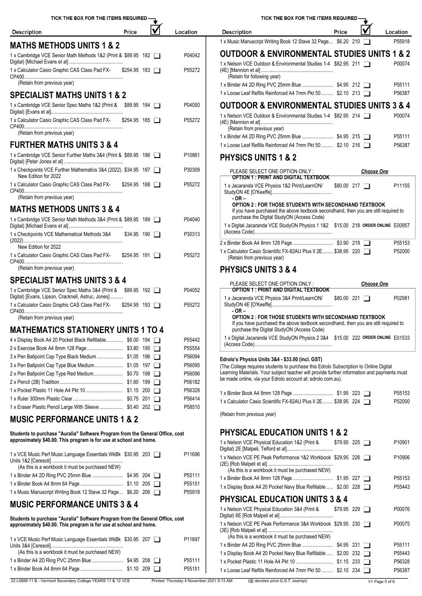| TICK THE BOX FOR THE ITEMS REQUIRED -                                                                                                               |                      |                     |                  | TICK THE BOX FOR THE ITEMS REQUIRED -                                                                                                               |                     |                   |                  |
|-----------------------------------------------------------------------------------------------------------------------------------------------------|----------------------|---------------------|------------------|-----------------------------------------------------------------------------------------------------------------------------------------------------|---------------------|-------------------|------------------|
| <b>Description</b>                                                                                                                                  | Price                |                     | Location         | <b>Description</b>                                                                                                                                  | Price               |                   | Location         |
| <b>MATHS METHODS UNITS 1 &amp; 2</b>                                                                                                                |                      |                     |                  | 1 x Music Manuscript Writing Book 12 Stave 32 Page \$6.20 210                                                                                       |                     |                   | P55918           |
| 1 x Cambridge VCE Senior Math Methods 1&2 (Print & \$89.95 182                                                                                      |                      |                     | P04042           | <b>OUTDOOR &amp; ENVIRONMENTAL STUDIES UNITS 1 &amp; 2</b>                                                                                          |                     |                   |                  |
|                                                                                                                                                     |                      |                     |                  | 1 x Nelson VCE Outdoor & Environmental Studies 1-4 \$82.95 211                                                                                      |                     |                   | P00074           |
| 1 x Calculator Casio Graphic CAS Class Pad FX-                                                                                                      | $$254.95$ 183 $\Box$ |                     | P55272           | (Retain for following year)                                                                                                                         |                     |                   |                  |
| (Retain from previous year)                                                                                                                         |                      |                     |                  |                                                                                                                                                     |                     |                   | P55111           |
| <b>SPECIALIST MATHS UNITS 1 &amp; 2</b>                                                                                                             |                      |                     |                  | 1 x Loose Leaf Refills Reinforced A4 7mm Pkt 50  \$2.10 213                                                                                         |                     |                   | P56387           |
| 1 x Cambridge VCE Senior Spec Maths 1&2 (Print & \$89.95 184                                                                                        |                      |                     | P04050           | <b>OUTDOOR &amp; ENVIRONMENTAL STUDIES UNITS 3 &amp; 4</b>                                                                                          |                     |                   |                  |
| 1 x Calculator Casio Graphic CAS Class Pad FX- \$254.95 185                                                                                         |                      |                     | P55272           | 1 x Nelson VCE Outdoor & Environmental Studies 1-4 \$82.95 214                                                                                      |                     |                   | P00074           |
|                                                                                                                                                     |                      |                     |                  | (Retain from previous year)                                                                                                                         |                     |                   |                  |
| (Retain from previous year)                                                                                                                         |                      |                     |                  |                                                                                                                                                     |                     |                   | P55111           |
| <b>FURTHER MATHS UNITS 3 &amp; 4</b>                                                                                                                |                      |                     |                  | 1 x Loose Leaf Refills Reinforced A4 7mm Pkt 50  \$2.10 216                                                                                         |                     |                   | P56387           |
| 1 x Cambridge VCE Senior Further Maths 3&4 (Print & \$89.95 186                                                                                     |                      |                     | P10861           | <b>PHYSICS UNITS 1 &amp; 2</b>                                                                                                                      |                     |                   |                  |
| 1 x Checkpoints VCE Further Mathematics 3&4 (2022). \$34.95 187                                                                                     |                      |                     | P30309           | PLEASE SELECT ONE OPTION ONLY:                                                                                                                      |                     | <b>Choose One</b> |                  |
| New Edition for 2022                                                                                                                                |                      |                     |                  | <b>OPTION 1: PRINT AND DIGITAL TEXTBOOK</b>                                                                                                         |                     |                   |                  |
| 1 x Calculator Casio Graphic CAS Class Pad FX-                                                                                                      | $$254.95$ 188 $\Box$ |                     | P55272           | 1 x Jacaranda VCE Physics 1&2 Print/LearnON/                                                                                                        | \$80.00 217         |                   | P11155           |
| (Retain from previous year)                                                                                                                         |                      |                     |                  | $-OR -$                                                                                                                                             |                     |                   |                  |
| <b>MATHS METHODS UNITS 3 &amp; 4</b>                                                                                                                |                      |                     |                  | <b>OPTION 2: FOR THOSE STUDENTS WITH SECONDHAND TEXTBOOK</b><br>If you have purchased the above textbook secondhand, then you are still required to |                     |                   |                  |
| 1 x Cambridge VCE Senior Math Methods 3&4 (Print & \$89.95 189                                                                                      |                      |                     | P04040           | purchase the Digital StudyON (Access Code)                                                                                                          |                     |                   |                  |
|                                                                                                                                                     |                      |                     |                  | 1 x Digital Jacaranda VCE StudyON Physics 1 1&2 \$15.00 218 ORDER ONLINE E00957                                                                     |                     |                   |                  |
| 1 x Checkpoints VCE Mathematical Methods 3&4                                                                                                        |                      | $$34.95$ 190 $\Box$ | P30313           |                                                                                                                                                     |                     |                   | P55153           |
| New Edition for 2022                                                                                                                                |                      |                     |                  | 1 x Calculator Casio Scientific FX-82AU Plus II 2E \$38.95 220                                                                                      |                     |                   | P52000           |
| 1 x Calculator Casio Graphic CAS Class Pad FX-                                                                                                      | $$254.95$ 191 $\Box$ |                     | P55272           | (Retain from previous year)                                                                                                                         |                     |                   |                  |
| (Retain from previous year)                                                                                                                         |                      |                     |                  | <b>PHYSICS UNITS 3 &amp; 4</b>                                                                                                                      |                     |                   |                  |
| <b>SPECIALIST MATHS UNITS 3 &amp; 4</b>                                                                                                             |                      |                     |                  | PLEASE SELECT ONE OPTION ONLY:                                                                                                                      |                     | <b>Choose One</b> |                  |
| 1 x Cambridge VCE Senior Spec Maths 3&4 (Print & \$89.95 192                                                                                        |                      |                     | P04052           | <b>OPTION 1: PRINT AND DIGITAL TEXTBOOK</b>                                                                                                         |                     |                   |                  |
| Digital) [Evans, Lipson, Cracknell, Astruc, Jones]<br>1 x Calculator Casio Graphic CAS Class Pad FX-                                                | $$254.95$ 193 $\Box$ |                     | P55272           | 1 x Jacaranda VCE Physics 3&4 Print/LearnON/                                                                                                        | \$80.00221          |                   | P02981           |
|                                                                                                                                                     |                      |                     |                  | $-OR -$                                                                                                                                             |                     |                   |                  |
| (Retain from previous year)                                                                                                                         |                      |                     |                  | <b>OPTION 2: FOR THOSE STUDENTS WITH SECONDHAND TEXTBOOK</b><br>If you have purchased the above textbook secondhand, then you are still required to |                     |                   |                  |
| <b>MATHEMATICS STATIONERY UNITS 1 TO 4</b>                                                                                                          |                      |                     |                  | purchase the Digital StudyON (Access Code)                                                                                                          |                     |                   |                  |
| 4 x Display Book A4 20 Pocket Black Refillable \$8.00 194                                                                                           |                      |                     | P55442           | 1 x Digital Jacaranda VCE StudyON Physics 2 3&4 \$15.00 222 ORDER ONLINE E01533                                                                     |                     |                   |                  |
| 3 x Pen Ballpoint Cap Type Black Medium  \$1.05 196                                                                                                 |                      |                     | P55554<br>P56094 |                                                                                                                                                     |                     |                   |                  |
| 3 x Pen Ballpoint Cap Type Blue Medium \$1.05 197                                                                                                   |                      |                     | P56095           | Edrolo's Physics Units 3&4 - \$33.00 (incl. GST)<br>(The College requires students to purchase this Edrolo Subscription to Online Digital           |                     |                   |                  |
|                                                                                                                                                     |                      |                     | P56096           | Learning Materials. Your subject teacher will provide further information and payments must                                                         |                     |                   |                  |
|                                                                                                                                                     |                      |                     | P56182           | be made online, via your Edrolo account at: edrolo.com.au).                                                                                         |                     |                   |                  |
|                                                                                                                                                     |                      |                     | P56328<br>P56414 |                                                                                                                                                     |                     |                   | P55153           |
| 1 x Eraser Plastic Pencil Large With Sleeve  \$0.40 202                                                                                             |                      |                     | P58510           | 1 x Calculator Casio Scientific FX-82AU Plus II 2E \$38.95 224                                                                                      |                     |                   | P52000           |
| <b>MUSIC PERFORMANCE UNITS 1 &amp; 2</b>                                                                                                            |                      |                     |                  | (Retain from previous year)                                                                                                                         |                     |                   |                  |
|                                                                                                                                                     |                      |                     |                  |                                                                                                                                                     |                     |                   |                  |
| Students to purchase "Auralia" Software Program from the General Office, cost<br>approximately \$40.00. This program is for use at school and home. |                      |                     |                  | <b>PHYSICAL EDUCATION UNITS 1 &amp; 2</b>                                                                                                           |                     |                   |                  |
|                                                                                                                                                     |                      |                     |                  | 1 x Nelson VCE Physical Education 1&2 (Print &                                                                                                      | $$79.95$ 225 $\Box$ |                   | P10901           |
| 1 x VCE Music Perf Music Language Essentials WkBk \$30.95 203                                                                                       |                      |                     | P11696           | 1 x Nelson VCE PE Peak Performance 1&2 Workbook \$29.95 226                                                                                         |                     |                   | P10906           |
| (As this is a workbook it must be purchased NEW)                                                                                                    |                      |                     |                  | (As this is a workbook it must be purchased NEW)                                                                                                    |                     |                   |                  |
|                                                                                                                                                     |                      |                     | P55111           |                                                                                                                                                     |                     |                   | P55153           |
| 1 x Music Manuscript Writing Book 12 Stave 32 Page \$6.20 206                                                                                       |                      |                     | P55151<br>P55918 | 1 x Display Book A4 20 Pocket Navy Blue Refillable  \$2.00 228                                                                                      |                     |                   | P55443           |
|                                                                                                                                                     |                      |                     |                  | <b>PHYSICAL EDUCATION UNITS 3 &amp; 4</b>                                                                                                           |                     |                   |                  |
| <b>MUSIC PERFORMANCE UNITS 3 &amp; 4</b>                                                                                                            |                      |                     |                  | 1 x Nelson VCE Physical Education 3&4 (Print &                                                                                                      | $$79.95$ 229 $\Box$ |                   | P00076           |
| Students to purchase "Auralia" Software Program from the General Office, cost                                                                       |                      |                     |                  | 1 x Nelson VCE PE Peak Performance 3&4 Workbook \$29.95 230                                                                                         |                     |                   | P00075           |
| approximately \$40.00. This program is for use at school and home.                                                                                  |                      |                     |                  |                                                                                                                                                     |                     |                   |                  |
| 1 x VCE Music Perf Music Language Essentials WkBk \$30.95 207                                                                                       |                      |                     | P11697           | (As this is a workbook it must be purchased NEW)                                                                                                    |                     |                   |                  |
| (As this is a workbook it must be purchased NEW)                                                                                                    |                      |                     |                  | 1 x Display Book A4 20 Pocket Navy Blue Refillable  \$2.00 232                                                                                      |                     |                   | P55111<br>P55443 |
|                                                                                                                                                     |                      |                     | P55111           |                                                                                                                                                     |                     |                   | P56328           |
|                                                                                                                                                     |                      |                     | P55151           | 1 x Loose Leaf Refills Reinforced A4 7mm Pkt 50  \$2.10 234                                                                                         |                     |                   | P56387           |
|                                                                                                                                                     |                      |                     |                  |                                                                                                                                                     |                     |                   |                  |

| <b>Description</b>                                                                                                                                                                                                                                                                                      | Price               |                   | Location |
|---------------------------------------------------------------------------------------------------------------------------------------------------------------------------------------------------------------------------------------------------------------------------------------------------------|---------------------|-------------------|----------|
| 1 x Music Manuscript Writing Book 12 Stave 32 Page \$6.20 210                                                                                                                                                                                                                                           |                     |                   | P55918   |
| <b>OUTDOOR &amp; ENVIRONMENTAL STUDIES UNITS 1 &amp; 2</b>                                                                                                                                                                                                                                              |                     |                   |          |
| 1 x Nelson VCE Outdoor & Environmental Studies 1-4 \$82.95 211<br>(Retain for following year)                                                                                                                                                                                                           |                     |                   | P00074   |
|                                                                                                                                                                                                                                                                                                         |                     |                   | P55111   |
| 1 x Loose Leaf Refills Reinforced A4 7mm Pkt 50  \$2.10 213                                                                                                                                                                                                                                             |                     |                   | P56387   |
| <b>OUTDOOR &amp; ENVIRONMENTAL STUDIES UNITS 3 &amp; 4</b>                                                                                                                                                                                                                                              |                     |                   |          |
| 1 x Nelson VCE Outdoor & Environmental Studies 1-4 \$82.95 214<br>(Retain from previous year)                                                                                                                                                                                                           |                     |                   | P00074   |
|                                                                                                                                                                                                                                                                                                         |                     |                   | P55111   |
| 1 x Loose Leaf Refills Reinforced A4 7mm Pkt 50  \$2.10 216                                                                                                                                                                                                                                             |                     |                   | P56387   |
| <b>PHYSICS UNITS 1 &amp; 2</b>                                                                                                                                                                                                                                                                          |                     |                   |          |
| PLEASE SELECT ONE OPTION ONLY :<br><b>OPTION 1: PRINT AND DIGITAL TEXTBOOK</b>                                                                                                                                                                                                                          |                     | <b>Choose One</b> |          |
| 1 x Jacaranda VCE Physics 1&2 Print/LearnON/<br>$-OR -$                                                                                                                                                                                                                                                 | \$80.00 217         |                   | P11155   |
| <b>OPTION 2: FOR THOSE STUDENTS WITH SECONDHAND TEXTBOOK</b><br>If you have purchased the above textbook secondhand, then you are still required to<br>purchase the Digital StudyON (Access Code)                                                                                                       |                     |                   |          |
| 1 x Digital Jacaranda VCE StudyON Physics 1 1&2 \$15.00 218 ORDER ONLINE E00957                                                                                                                                                                                                                         |                     |                   |          |
|                                                                                                                                                                                                                                                                                                         |                     |                   | P55153   |
| 1 x Calculator Casio Scientific FX-82AU Plus II 2E \$38.95 220<br>(Retain from previous year)                                                                                                                                                                                                           |                     |                   | P52000   |
| <b>PHYSICS UNITS 3 &amp; 4</b>                                                                                                                                                                                                                                                                          |                     |                   |          |
|                                                                                                                                                                                                                                                                                                         |                     |                   |          |
| PLEASE SELECT ONE OPTION ONLY:                                                                                                                                                                                                                                                                          |                     | <b>Choose One</b> |          |
| <b>OPTION 1 : PRINT AND DIGITAL TEXTBOOK</b><br>1 x Jacaranda VCE Physics 3&4 Print/LearnON/                                                                                                                                                                                                            | \$80.00221          |                   | P02981   |
| - OR –<br><b>OPTION 2 : FOR THOSE STUDENTS WITH SECONDHAND TEXTBOOK</b><br>If you have purchased the above textbook secondhand, then you are still required to                                                                                                                                          |                     |                   |          |
| purchase the Digital StudyON (Access Code)                                                                                                                                                                                                                                                              |                     |                   |          |
| 1 x Digital Jacaranda VCE StudyON Physics 2 3&4 \$15.00 222 ORDER ONLINE E01533                                                                                                                                                                                                                         |                     |                   |          |
| Edrolo's Physics Units 3&4 - \$33.00 (incl. GST)<br>(The College requires students to purchase this Edrolo Subscription to Online Digital<br>Learning Materials. Your subject teacher will provide further information and payments must<br>be made online, via your Edrolo account at: edrolo.com.au). |                     |                   |          |
|                                                                                                                                                                                                                                                                                                         |                     |                   | P55153   |
| 1 x Calculator Casio Scientific FX-82AU Plus II 2E \$38.95 224                                                                                                                                                                                                                                          |                     |                   | P52000   |
| (Retain from previous year)                                                                                                                                                                                                                                                                             |                     |                   |          |
| <b>PHYSICAL EDUCATION UNITS 1 &amp; 2</b>                                                                                                                                                                                                                                                               |                     |                   |          |
| 1 x Nelson VCE Physical Education 1&2 (Print &                                                                                                                                                                                                                                                          | $$79.95$ 225 $\Box$ |                   | P10901   |
| 1 x Nelson VCE PE Peak Performance 1&2 Workbook \$29.95 226<br>(As this is a workbook it must be purchased NEW)                                                                                                                                                                                         |                     |                   | P10906   |
|                                                                                                                                                                                                                                                                                                         |                     |                   | P55153   |
| 1 x Display Book A4 20 Pocket Navy Blue Refillable  \$2.00 228                                                                                                                                                                                                                                          |                     |                   | P55443   |
| <b>PHYSICAL EDUCATION UNITS 3 &amp; 4</b>                                                                                                                                                                                                                                                               |                     |                   |          |
| 1 x Nelson VCE Physical Education 3&4 (Print &                                                                                                                                                                                                                                                          | $$79.95$ 229 $\Box$ |                   | P00076   |

TICK THE BOX FOR THE ITEMS REQUIRED